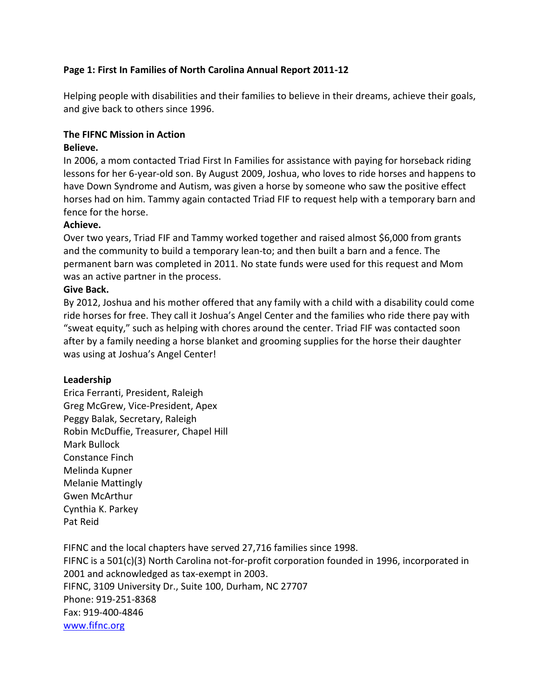# **Page 1: First In Families of North Carolina Annual Report 2011-12**

Helping people with disabilities and their families to believe in their dreams, achieve their goals, and give back to others since 1996.

# **The FIFNC Mission in Action**

# **Believe.**

In 2006, a mom contacted Triad First In Families for assistance with paying for horseback riding lessons for her 6-year-old son. By August 2009, Joshua, who loves to ride horses and happens to have Down Syndrome and Autism, was given a horse by someone who saw the positive effect horses had on him. Tammy again contacted Triad FIF to request help with a temporary barn and fence for the horse.

# **Achieve.**

Over two years, Triad FIF and Tammy worked together and raised almost \$6,000 from grants and the community to build a temporary lean-to; and then built a barn and a fence. The permanent barn was completed in 2011. No state funds were used for this request and Mom was an active partner in the process.

# **Give Back.**

By 2012, Joshua and his mother offered that any family with a child with a disability could come ride horses for free. They call it Joshua's Angel Center and the families who ride there pay with "sweat equity," such as helping with chores around the center. Triad FIF was contacted soon after by a family needing a horse blanket and grooming supplies for the horse their daughter was using at Joshua's Angel Center!

# **Leadership**

Erica Ferranti, President, Raleigh Greg McGrew, Vice-President, Apex Peggy Balak, Secretary, Raleigh Robin McDuffie, Treasurer, Chapel Hill Mark Bullock Constance Finch Melinda Kupner Melanie Mattingly Gwen McArthur Cynthia K. Parkey Pat Reid

FIFNC and the local chapters have served 27,716 families since 1998. FIFNC is a 501(c)(3) North Carolina not-for-profit corporation founded in 1996, incorporated in 2001 and acknowledged as tax-exempt in 2003. FIFNC, 3109 University Dr., Suite 100, Durham, NC 27707 Phone: 919-251-8368 Fax: 919-400-4846 [www.fifnc.org](http://www.fifnc.org/)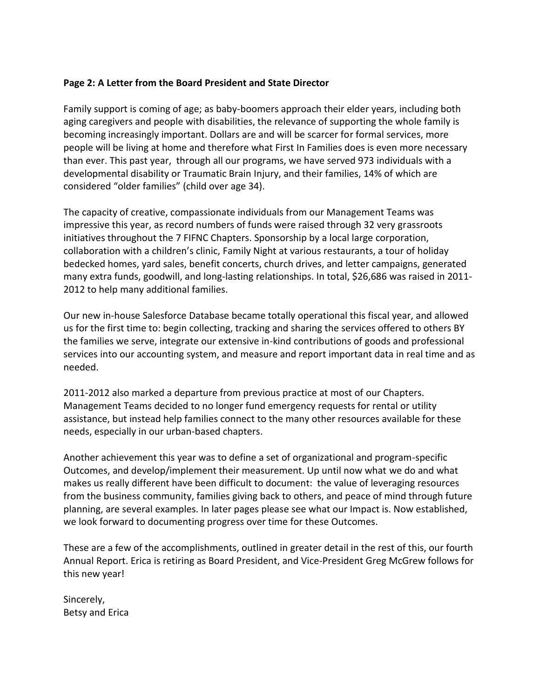# **Page 2: A Letter from the Board President and State Director**

Family support is coming of age; as baby-boomers approach their elder years, including both aging caregivers and people with disabilities, the relevance of supporting the whole family is becoming increasingly important. Dollars are and will be scarcer for formal services, more people will be living at home and therefore what First In Families does is even more necessary than ever. This past year, through all our programs, we have served 973 individuals with a developmental disability or Traumatic Brain Injury, and their families, 14% of which are considered "older families" (child over age 34).

The capacity of creative, compassionate individuals from our Management Teams was impressive this year, as record numbers of funds were raised through 32 very grassroots initiatives throughout the 7 FIFNC Chapters. Sponsorship by a local large corporation, collaboration with a children's clinic, Family Night at various restaurants, a tour of holiday bedecked homes, yard sales, benefit concerts, church drives, and letter campaigns, generated many extra funds, goodwill, and long-lasting relationships. In total, \$26,686 was raised in 2011- 2012 to help many additional families.

Our new in-house Salesforce Database became totally operational this fiscal year, and allowed us for the first time to: begin collecting, tracking and sharing the services offered to others BY the families we serve, integrate our extensive in-kind contributions of goods and professional services into our accounting system, and measure and report important data in real time and as needed.

2011-2012 also marked a departure from previous practice at most of our Chapters. Management Teams decided to no longer fund emergency requests for rental or utility assistance, but instead help families connect to the many other resources available for these needs, especially in our urban-based chapters.

Another achievement this year was to define a set of organizational and program-specific Outcomes, and develop/implement their measurement. Up until now what we do and what makes us really different have been difficult to document: the value of leveraging resources from the business community, families giving back to others, and peace of mind through future planning, are several examples. In later pages please see what our Impact is. Now established, we look forward to documenting progress over time for these Outcomes.

These are a few of the accomplishments, outlined in greater detail in the rest of this, our fourth Annual Report. Erica is retiring as Board President, and Vice-President Greg McGrew follows for this new year!

Sincerely, Betsy and Erica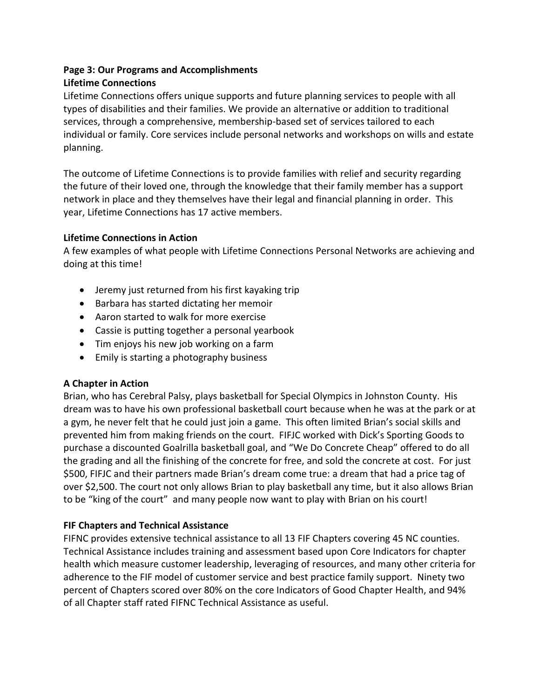# **Page 3: Our Programs and Accomplishments**

# **Lifetime Connections**

Lifetime Connections offers unique supports and future planning services to people with all types of disabilities and their families. We provide an alternative or addition to traditional services, through a comprehensive, membership-based set of services tailored to each individual or family. Core services include personal networks and workshops on wills and estate planning.

The outcome of Lifetime Connections is to provide families with relief and security regarding the future of their loved one, through the knowledge that their family member has a support network in place and they themselves have their legal and financial planning in order. This year, Lifetime Connections has 17 active members.

# **Lifetime Connections in Action**

A few examples of what people with Lifetime Connections Personal Networks are achieving and doing at this time!

- Jeremy just returned from his first kayaking trip
- Barbara has started dictating her memoir
- Aaron started to walk for more exercise
- Cassie is putting together a personal yearbook
- Tim enjoys his new job working on a farm
- Emily is starting a photography business

# **A Chapter in Action**

Brian, who has Cerebral Palsy, plays basketball for Special Olympics in Johnston County. His dream was to have his own professional basketball court because when he was at the park or at a gym, he never felt that he could just join a game. This often limited Brian's social skills and prevented him from making friends on the court. FIFJC worked with Dick's Sporting Goods to purchase a discounted Goalrilla basketball goal, and "We Do Concrete Cheap" offered to do all the grading and all the finishing of the concrete for free, and sold the concrete at cost. For just \$500, FIFJC and their partners made Brian's dream come true: a dream that had a price tag of over \$2,500. The court not only allows Brian to play basketball any time, but it also allows Brian to be "king of the court" and many people now want to play with Brian on his court!

# **FIF Chapters and Technical Assistance**

FIFNC provides extensive technical assistance to all 13 FIF Chapters covering 45 NC counties. Technical Assistance includes training and assessment based upon Core Indicators for chapter health which measure customer leadership, leveraging of resources, and many other criteria for adherence to the FIF model of customer service and best practice family support. Ninety two percent of Chapters scored over 80% on the core Indicators of Good Chapter Health, and 94% of all Chapter staff rated FIFNC Technical Assistance as useful.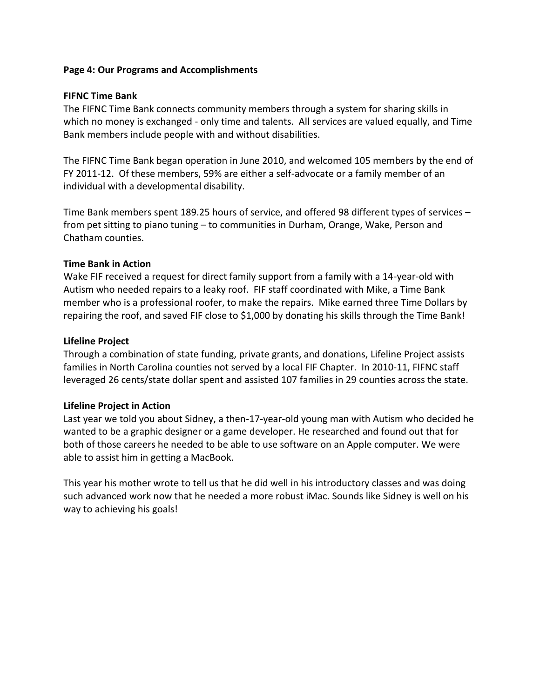# **Page 4: Our Programs and Accomplishments**

#### **FIFNC Time Bank**

The FIFNC Time Bank connects community members through a system for sharing skills in which no money is exchanged - only time and talents. All services are valued equally, and Time Bank members include people with and without disabilities.

The FIFNC Time Bank began operation in June 2010, and welcomed 105 members by the end of FY 2011-12. Of these members, 59% are either a self-advocate or a family member of an individual with a developmental disability.

Time Bank members spent 189.25 hours of service, and offered 98 different types of services – from pet sitting to piano tuning – to communities in Durham, Orange, Wake, Person and Chatham counties.

# **Time Bank in Action**

Wake FIF received a request for direct family support from a family with a 14-year-old with Autism who needed repairs to a leaky roof. FIF staff coordinated with Mike, a Time Bank member who is a professional roofer, to make the repairs. Mike earned three Time Dollars by repairing the roof, and saved FIF close to \$1,000 by donating his skills through the Time Bank!

# **Lifeline Project**

Through a combination of state funding, private grants, and donations, Lifeline Project assists families in North Carolina counties not served by a local FIF Chapter. In 2010-11, FIFNC staff leveraged 26 cents/state dollar spent and assisted 107 families in 29 counties across the state.

# **Lifeline Project in Action**

Last year we told you about Sidney, a then-17-year-old young man with Autism who decided he wanted to be a graphic designer or a game developer. He researched and found out that for both of those careers he needed to be able to use software on an Apple computer. We were able to assist him in getting a MacBook.

This year his mother wrote to tell us that he did well in his introductory classes and was doing such advanced work now that he needed a more robust iMac. Sounds like Sidney is well on his way to achieving his goals!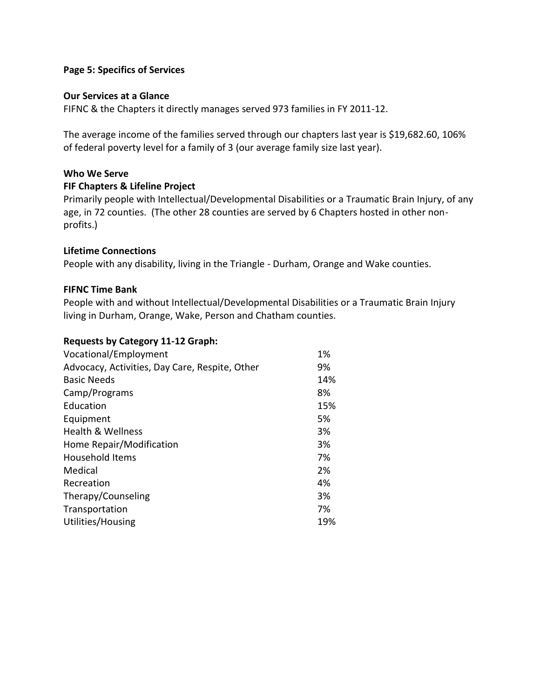#### **Page 5: Specifics of Services**

#### **Our Services at a Glance**

FIFNC & the Chapters it directly manages served 973 families in FY 2011-12.

The average income of the families served through our chapters last year is \$19,682.60, 106% of federal poverty level for a family of 3 (our average family size last year).

# **Who We Serve**

#### **FIF Chapters & Lifeline Project**

Primarily people with Intellectual/Developmental Disabilities or a Traumatic Brain Injury, of any age, in 72 counties. (The other 28 counties are served by 6 Chapters hosted in other nonprofits.)

#### **Lifetime Connections**

People with any disability, living in the Triangle - Durham, Orange and Wake counties.

#### **FIFNC Time Bank**

People with and without Intellectual/Developmental Disabilities or a Traumatic Brain Injury living in Durham, Orange, Wake, Person and Chatham counties.

#### **Requests by Category 11-12 Graph:**

| Vocational/Employment                          | 1%  |
|------------------------------------------------|-----|
| Advocacy, Activities, Day Care, Respite, Other | 9%  |
| <b>Basic Needs</b>                             | 14% |
| Camp/Programs                                  | 8%  |
| Education                                      | 15% |
| Equipment                                      | 5%  |
| Health & Wellness                              | 3%  |
| Home Repair/Modification                       | 3%  |
| <b>Household Items</b>                         | 7%  |
| Medical                                        | 2%  |
| Recreation                                     | 4%  |
| Therapy/Counseling                             | 3%  |
| Transportation                                 | 7%  |
| Utilities/Housing                              | 19% |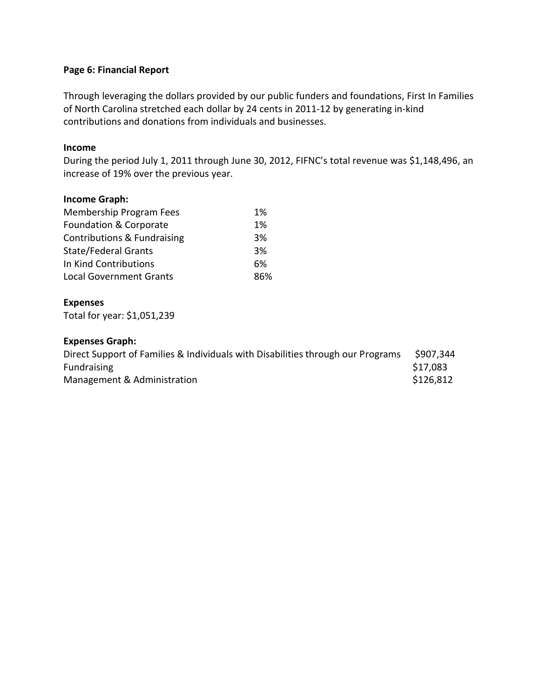# **Page 6: Financial Report**

Through leveraging the dollars provided by our public funders and foundations, First In Families of North Carolina stretched each dollar by 24 cents in 2011-12 by generating in-kind contributions and donations from individuals and businesses.

## **Income**

During the period July 1, 2011 through June 30, 2012, FIFNC's total revenue was \$1,148,496, an increase of 19% over the previous year.

# **Income Graph:**

| Membership Program Fees        | 1%  |
|--------------------------------|-----|
| Foundation & Corporate         | 1%  |
| Contributions & Fundraising    | 3%  |
| <b>State/Federal Grants</b>    | 3%  |
| In Kind Contributions          | 6%  |
| <b>Local Government Grants</b> | 86% |

#### **Expenses**

Total for year: \$1,051,239

# **Expenses Graph:**

| Direct Support of Families & Individuals with Disabilities through our Programs | \$907,344 |
|---------------------------------------------------------------------------------|-----------|
| <b>Fundraising</b>                                                              | \$17,083  |
| Management & Administration                                                     | \$126,812 |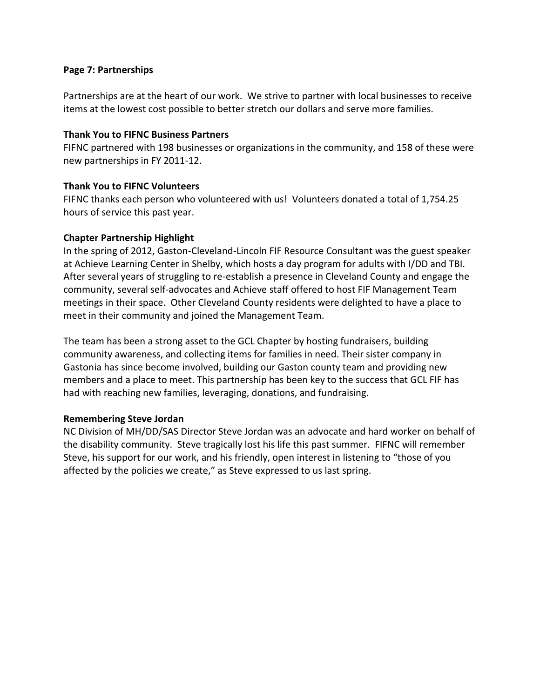# **Page 7: Partnerships**

Partnerships are at the heart of our work. We strive to partner with local businesses to receive items at the lowest cost possible to better stretch our dollars and serve more families.

#### **Thank You to FIFNC Business Partners**

FIFNC partnered with 198 businesses or organizations in the community, and 158 of these were new partnerships in FY 2011-12.

# **Thank You to FIFNC Volunteers**

FIFNC thanks each person who volunteered with us! Volunteers donated a total of 1,754.25 hours of service this past year.

# **Chapter Partnership Highlight**

In the spring of 2012, Gaston-Cleveland-Lincoln FIF Resource Consultant was the guest speaker at Achieve Learning Center in Shelby, which hosts a day program for adults with I/DD and TBI. After several years of struggling to re-establish a presence in Cleveland County and engage the community, several self-advocates and Achieve staff offered to host FIF Management Team meetings in their space. Other Cleveland County residents were delighted to have a place to meet in their community and joined the Management Team.

The team has been a strong asset to the GCL Chapter by hosting fundraisers, building community awareness, and collecting items for families in need. Their sister company in Gastonia has since become involved, building our Gaston county team and providing new members and a place to meet. This partnership has been key to the success that GCL FIF has had with reaching new families, leveraging, donations, and fundraising.

# **Remembering Steve Jordan**

NC Division of MH/DD/SAS Director Steve Jordan was an advocate and hard worker on behalf of the disability community. Steve tragically lost his life this past summer. FIFNC will remember Steve, his support for our work, and his friendly, open interest in listening to "those of you affected by the policies we create," as Steve expressed to us last spring.